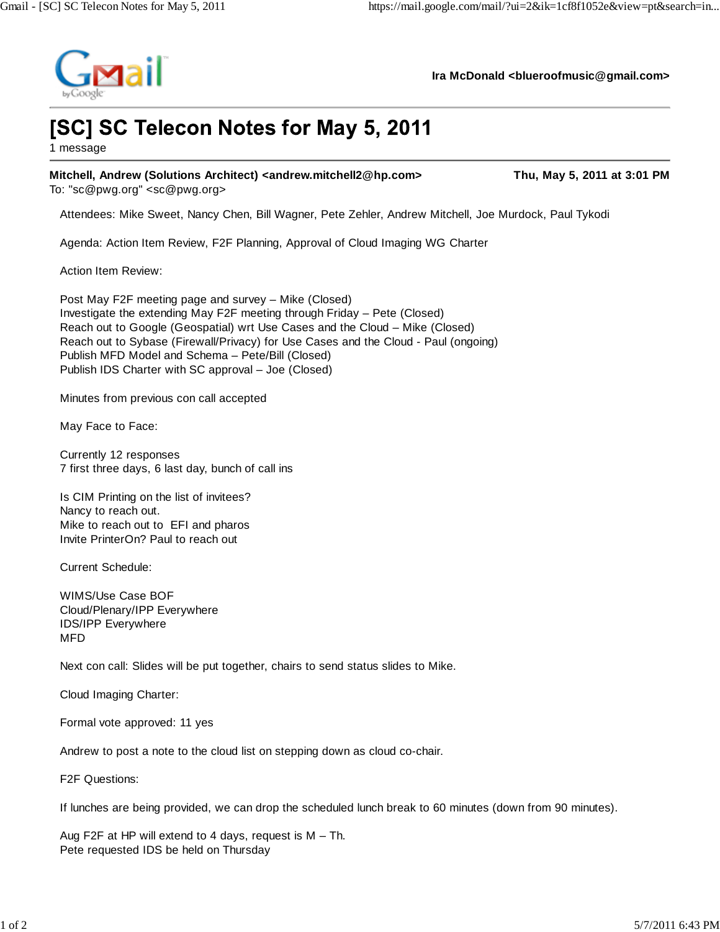

**Ira McDonald <blueroofmusic@gmail.com>**

## [SC] SC Telecon Notes for May 5, 2011

1 message

Mitchell, Andrew (Solutions Architect) <andrew.mitchell2@hp.com>
Thu, May 5, 2011 at 3:01 PM

To: "sc@pwg.org" <sc@pwg.org>

Attendees: Mike Sweet, Nancy Chen, Bill Wagner, Pete Zehler, Andrew Mitchell, Joe Murdock, Paul Tykodi

Agenda: Action Item Review, F2F Planning, Approval of Cloud Imaging WG Charter

Action Item Review:

Post May F2F meeting page and survey – Mike (Closed) Investigate the extending May F2F meeting through Friday – Pete (Closed) Reach out to Google (Geospatial) wrt Use Cases and the Cloud – Mike (Closed) Reach out to Sybase (Firewall/Privacy) for Use Cases and the Cloud - Paul (ongoing) Publish MFD Model and Schema – Pete/Bill (Closed) Publish IDS Charter with SC approval – Joe (Closed)

Minutes from previous con call accepted

May Face to Face:

Currently 12 responses 7 first three days, 6 last day, bunch of call ins

Is CIM Printing on the list of invitees? Nancy to reach out. Mike to reach out to EFI and pharos Invite PrinterOn? Paul to reach out

Current Schedule:

WIMS/Use Case BOF Cloud/Plenary/IPP Everywhere IDS/IPP Everywhere MFD

Next con call: Slides will be put together, chairs to send status slides to Mike.

Cloud Imaging Charter:

Formal vote approved: 11 yes

Andrew to post a note to the cloud list on stepping down as cloud co-chair.

F2F Questions:

If lunches are being provided, we can drop the scheduled lunch break to 60 minutes (down from 90 minutes).

Aug F2F at HP will extend to 4 days, request is M – Th. Pete requested IDS be held on Thursday